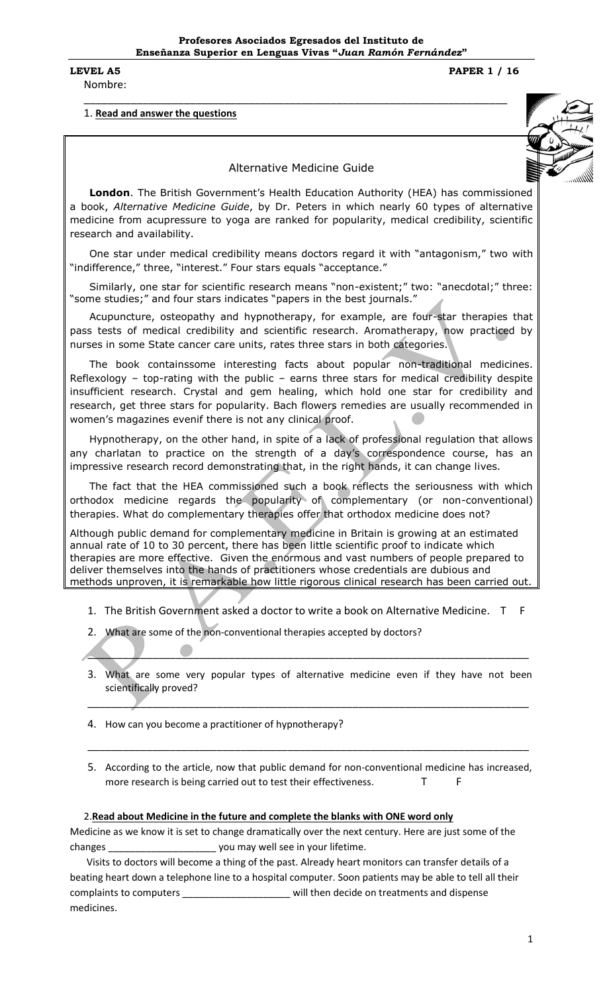Nombre:

**LEVEL A5 PAPER 1 / 16**

# 1. **Read and answer the questions**

Alternative Medicine Guide

\_\_\_\_\_\_\_\_\_\_\_\_\_\_\_\_\_\_\_\_\_\_\_\_\_\_\_\_\_\_\_\_\_\_\_\_\_\_\_\_\_\_\_\_\_\_\_\_\_\_\_\_\_\_\_\_\_\_\_\_\_\_\_\_\_\_\_\_\_\_\_\_

**London**. The British Government's Health Education Authority (HEA) has commissioned a book, *Alternative Medicine Guide*, by Dr. Peters in which nearly 60 types of alternative medicine from acupressure to yoga are ranked for popularity, medical credibility, scientific research and availability.

One star under medical credibility means doctors regard it with "antagonism," two with "indifference," three, "interest." Four stars equals "acceptance."

Similarly, one star for scientific research means "non-existent;" two: "anecdotal;" three: "some studies;" and four stars indicates "papers in the best journals."

Acupuncture, osteopathy and hypnotherapy, for example, are four-star therapies that pass tests of medical credibility and scientific research. Aromatherapy, now practiced by nurses in some State cancer care units, rates three stars in both categories.

The book containssome interesting facts about popular non-traditional medicines. Reflexology – top-rating with the public – earns three stars for medical credibility despite insufficient research. Crystal and gem healing, which hold one star for credibility and research, get three stars for popularity. Bach flowers remedies are usually recommended in women's magazines evenif there is not any clinical proof.

Hypnotherapy, on the other hand, in spite of a lack of professional regulation that allows any charlatan to practice on the strength of a day's correspondence course, has an impressive research record demonstrating that, in the right hands, it can change lives.

The fact that the HEA commissioned such a book reflects the seriousness with which orthodox medicine regards the popularity of complementary (or non-conventional) therapies. What do complementary therapies offer that orthodox medicine does not?

Although public demand for complementary medicine in Britain is growing at an estimated annual rate of 10 to 30 percent, there has been little scientific proof to indicate which therapies are more effective. Given the enormous and vast numbers of people prepared to deliver themselves into the hands of practitioners whose credentials are dubious and methods unproven, it is remarkable how little rigorous clinical research has been carried out

- 1. The British Government asked a doctor to write a book on Alternative Medicine. T F
- 2. What are some of the non-conventional therapies accepted by doctors?
- 3. What are some very popular types of alternative medicine even if they have not been scientifically proved?

\_\_\_\_\_\_\_\_\_\_\_\_\_\_\_\_\_\_\_\_\_\_\_\_\_\_\_\_\_\_\_\_\_\_\_\_\_\_\_\_\_\_\_\_\_\_\_\_\_\_\_\_\_\_\_\_\_\_\_\_\_\_\_\_\_\_\_\_\_\_\_\_\_\_\_

\_\_\_\_\_\_\_\_\_\_\_\_\_\_\_\_\_\_\_\_\_\_\_\_\_\_\_\_\_\_\_\_\_\_\_\_\_\_\_\_\_\_\_\_\_\_\_\_\_\_\_\_\_\_\_\_\_\_\_\_\_\_\_\_\_\_\_\_\_\_\_\_\_\_\_

- 4. How can you become a practitioner of hypnotherapy?
- 5. According to the article, now that public demand for non-conventional medicine has increased, more research is being carried out to test their effectiveness.

\_\_\_\_\_\_\_\_\_\_\_\_\_\_\_\_\_\_\_\_\_\_\_\_\_\_\_\_\_\_\_\_\_\_\_\_\_\_\_\_\_\_\_\_\_\_\_\_\_\_\_\_\_\_\_\_\_\_\_\_\_\_\_\_\_\_\_\_\_\_\_\_\_\_\_

#### 2.**Read about Medicine in the future and complete the blanks with ONE word only**

Medicine as we know it is set to change dramatically over the next century. Here are just some of the changes \_\_\_\_\_\_\_\_\_\_\_\_\_\_\_\_\_\_\_\_ you may well see in your lifetime.

Visits to doctors will become a thing of the past. Already heart monitors can transfer details of a beating heart down a telephone line to a hospital computer. Soon patients may be able to tell all their complaints to computers \_\_\_\_\_\_\_\_\_\_\_\_\_\_\_\_\_\_\_\_\_\_\_ will then decide on treatments and dispense medicines.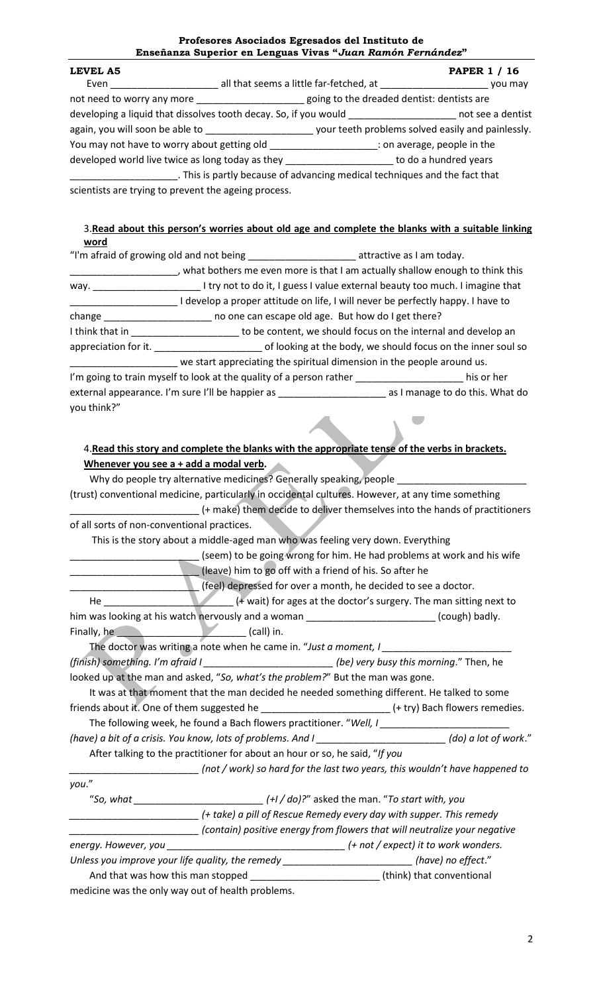#### **Profesores Asociados Egresados del Instituto de Enseñanza Superior en Lenguas Vivas "***Juan Ramón Fernández***"**

| LEVEL A5                                                                                                      |                                                                            | <b>PAPER 1 / 16</b> |
|---------------------------------------------------------------------------------------------------------------|----------------------------------------------------------------------------|---------------------|
| Even                                                                                                          | all that seems a little far-fetched, at                                    | you may             |
| not need to worry any more example and the space of the dreaded dentist: dentists are                         |                                                                            |                     |
| developing a liquid that dissolves tooth decay. So, if you would by the contract of the anderstand developing |                                                                            |                     |
| again, you will soon be able to example to the system of your teeth problems solved easily and painlessly.    |                                                                            |                     |
|                                                                                                               |                                                                            |                     |
| developed world live twice as long today as they                                                              | to do a hundred years                                                      |                     |
|                                                                                                               | . This is partly because of advancing medical techniques and the fact that |                     |
| scientists are trying to prevent the ageing process.                                                          |                                                                            |                     |

### 3.**Read about this person's worries about old age and complete the blanks with a suitable linking word**

| "I'm afraid of growing old and not being __________________________attractive as I am today. |                                                                                                                            |                                                               |  |
|----------------------------------------------------------------------------------------------|----------------------------------------------------------------------------------------------------------------------------|---------------------------------------------------------------|--|
|                                                                                              | what bothers me even more is that I am actually shallow enough to think this                                               |                                                               |  |
| way.                                                                                         | I try not to do it, I guess I value external beauty too much. I imagine that                                               |                                                               |  |
|                                                                                              | develop a proper attitude on life, I will never be perfectly happy. I have to                                              |                                                               |  |
|                                                                                              |                                                                                                                            |                                                               |  |
| I think that in                                                                              |                                                                                                                            | to be content, we should focus on the internal and develop an |  |
| appreciation for it.                                                                         | of looking at the body, we should focus on the inner soul so                                                               |                                                               |  |
|                                                                                              | we start appreciating the spiritual dimension in the people around us.                                                     |                                                               |  |
|                                                                                              | I'm going to train myself to look at the quality of a person rather <b>contract to the state of the state of the state</b> | his or her                                                    |  |
| you think?"                                                                                  | external appearance. I'm sure I'll be happier as                                                                           | as I manage to do this. What do                               |  |

# 4.**Read this story and complete the blanks with the appropriate tense of the verbs in brackets. Whenever you see a + add a modal verb.**

Why do people try alternative medicines? Generally speaking, people (trust) conventional medicine, particularly in occidental cultures. However, at any time something \_\_\_\_\_\_\_\_\_\_\_\_\_\_\_\_\_\_\_\_\_\_\_\_ (+ make) them decide to deliver themselves into the hands of practitioners of all sorts of non-conventional practices. This is the story about a middle-aged man who was feeling very down. Everything (seem) to be going wrong for him. He had problems at work and his wife \_\_\_\_\_\_\_\_\_\_\_\_\_\_\_\_\_\_\_\_\_\_\_\_ (leave) him to go off with a friend of his. So after he \_\_\_\_\_\_\_\_\_\_\_\_\_\_\_\_\_\_\_\_\_\_\_\_ (feel) depressed for over a month, he decided to see a doctor. He \_\_\_\_\_\_\_\_\_\_\_\_\_\_\_\_\_\_\_\_\_\_\_\_ (+ wait) for ages at the doctor's surgery. The man sitting next to him was looking at his watch nervously and a woman \_\_\_\_\_\_\_\_\_\_\_\_\_\_\_\_\_\_\_\_\_\_\_\_\_(cough) badly. Finally, he **we can also construct that the set of the constraint** (call) in. The doctor was writing a note when he came in. "Just a moment, I *(finish) something. I'm afraid I \_\_\_\_\_\_\_\_\_\_\_\_\_\_\_\_\_\_\_\_\_\_\_\_ (be) very busy this morning*." Then, he looked up at the man and asked, "*So, what's the problem?*" But the man was gone. It was at that moment that the man decided he needed something different. He talked to some friends about it. One of them suggested he \_\_\_\_\_\_\_\_\_\_\_\_\_\_\_\_\_\_\_\_\_\_\_\_\_\_\_\_\_\_(+ try) Bach flowers remedies. The following week, he found a Bach flowers practitioner. "*Well, I \_\_\_\_\_\_\_\_\_\_\_\_\_\_\_\_\_\_\_\_\_\_\_\_ (have) a bit of a crisis. You know, lots of problems. And I \_\_\_\_\_\_\_\_\_\_\_\_\_\_\_\_\_\_\_\_\_\_\_\_ (do) a lot of work*." After talking to the practitioner for about an hour or so, he said, "*If you \_\_\_\_\_\_\_\_\_\_\_\_\_\_\_\_\_\_\_\_\_\_\_\_ (not / work) so hard for the last two years, this wouldn't have happened to you*." "*So, what \_\_\_\_\_\_\_\_\_\_\_\_\_\_\_\_\_\_\_\_\_\_\_\_ (+I / do)?*" asked the man. "*To start with, you \_\_\_\_\_\_\_\_\_\_\_\_\_\_\_\_\_\_\_\_\_\_\_\_ (+ take) a pill of Rescue Remedy every day with supper. This remedy \_\_\_\_\_\_\_\_\_\_\_\_\_\_\_\_\_\_\_\_\_\_\_\_ (contain) positive energy from flowers that will neutralize your negative energy. However, you \_\_\_\_\_\_\_\_\_\_\_\_\_\_\_\_\_\_\_\_\_\_\_\_\_\_\_\_\_\_\_\_\_ (+ not / expect) it to work wonders. Unless you improve your life quality, the remedy \_\_\_\_\_\_\_\_\_\_\_\_\_\_\_\_\_\_\_\_\_\_\_\_ (have) no effect*." And that was how this man stopped \_\_\_\_\_\_\_\_\_\_\_\_\_\_\_\_\_\_\_\_\_\_\_\_\_\_\_(think) that conventional medicine was the only way out of health problems.